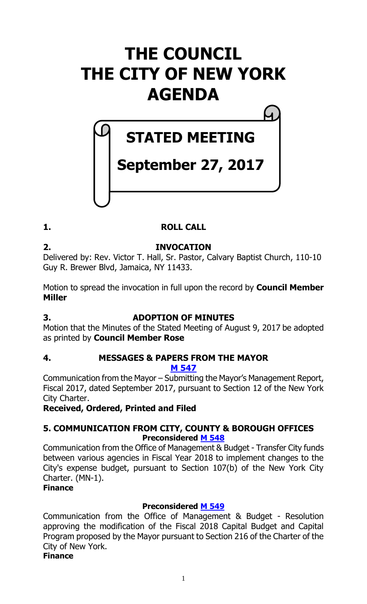# **THE COUNCIL THE CITY OF NEW YORK AGENDA**

# **STATED MEETING**

# **September 27, 2017**

# **1. ROLL CALL**

**2. INVOCATION**

Delivered by: Rev. Victor T. Hall, Sr. Pastor, Calvary Baptist Church, 110-10 Guy R. Brewer Blvd, Jamaica, NY 11433.

Motion to spread the invocation in full upon the record by **Council Member Miller**

# **3. ADOPTION OF MINUTES**

Motion that the Minutes of the Stated Meeting of August 9, 2017 be adopted as printed by **Council Member Rose**

# **4. MESSAGES & PAPERS FROM THE MAYOR M [547](http://legistar.council.nyc.gov/LegislationDetail.aspx?ID=3164023&GUID=F2C9FD56-B9B2-41F8-A3A1-3132A3760C92&Options=ID|Text|&Search=)**

Communication from the Mayor – Submitting the Mayor's Management Report, Fiscal 2017, dated September 2017, pursuant to Section 12 of the New York City Charter.

# **Received, Ordered, Printed and Filed**

# **5. COMMUNICATION FROM CITY, COUNTY & BOROUGH OFFICES Preconsidered [M 548](http://legistar.council.nyc.gov/LegislationDetail.aspx?ID=3163907&GUID=E2A97312-BA53-4A59-A933-91B46BF9BD74&Options=ID|Text|&Search=)**

Communication from the Office of Management & Budget - Transfer City funds between various agencies in Fiscal Year 2018 to implement changes to the City's expense budget, pursuant to Section 107(b) of the New York City Charter. (MN-1).

# **Finance**

# **Preconsidered [M 549](http://legistar.council.nyc.gov/LegislationDetail.aspx?ID=3163908&GUID=483F8DC7-5ACC-4060-AFC7-773C25382E86&Options=ID|Text|&Search=)**

Communication from the Office of Management & Budget - Resolution approving the modification of the Fiscal 2018 Capital Budget and Capital Program proposed by the Mayor pursuant to Section 216 of the Charter of the City of New York.

# **Finance**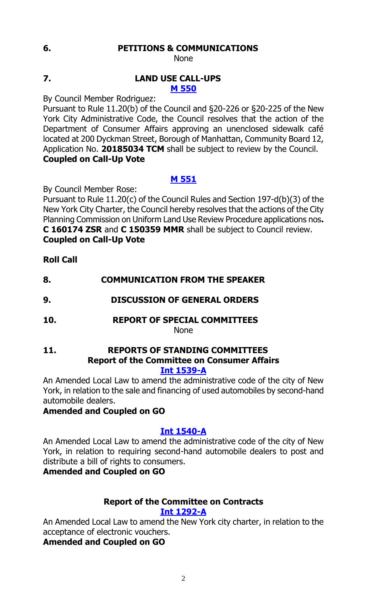# **6. PETITIONS & COMMUNICATIONS**

None

#### **7. LAND USE CALL-UPS M [550](http://legistar.council.nyc.gov/LegislationDetail.aspx?ID=3163965&GUID=3AA1F749-FFDB-4482-9FC2-505E1117AF31&Options=ID|Text|&Search=)**

By Council Member Rodriguez:

Pursuant to Rule 11.20(b) of the Council and §20-226 or §20-225 of the New York City Administrative Code, the Council resolves that the action of the Department of Consumer Affairs approving an unenclosed sidewalk café located at 200 Dyckman Street, Borough of Manhattan, Community Board 12, Application No. **20185034 TCM** shall be subject to review by the Council. **Coupled on Call-Up Vote**

# **M [551](http://legistar.council.nyc.gov/LegislationDetail.aspx?ID=3163966&GUID=4F9EFCAC-5C42-4AC6-944D-FAB57B67FE8B&Options=ID|Text|&Search=)**

By Council Member Rose:

Pursuant to Rule 11.20(c) of the Council Rules and Section 197-d(b)(3) of the New York City Charter, the Council hereby resolves that the actions of the City Planning Commission on Uniform Land Use Review Procedure applications nos**. C 160174 ZSR** and **C 150359 MMR** shall be subject to Council review. **Coupled on Call-Up Vote**

**Roll Call**

- **8. COMMUNICATION FROM THE SPEAKER**
- **9. DISCUSSION OF GENERAL ORDERS**
- **10. REPORT OF SPECIAL COMMITTEES**

None

#### **11. REPORTS OF STANDING COMMITTEES Report of the Committee on Consumer Affairs [Int 1539-A](http://legistar.council.nyc.gov/LegislationDetail.aspx?ID=3008983&GUID=C3212579-670A-4B52-975B-B572DDD65D20&Options=Advanced&Search=)**

An Amended Local Law to amend the administrative code of the city of New

York, in relation to the sale and financing of used automobiles by second-hand automobile dealers.

# **Amended and Coupled on GO**

# **[Int 1540-A](http://legistar.council.nyc.gov/LegislationDetail.aspx?ID=3008990&GUID=2C47856B-FAF1-468E-A45A-CA79FC432631&Options=Advanced&Search=)**

An Amended Local Law to amend the administrative code of the city of New York, in relation to requiring second-hand automobile dealers to post and distribute a bill of rights to consumers.

# **Amended and Coupled on GO**

#### **Report of the Committee on Contracts [Int 1292-A](http://legistar.council.nyc.gov/LegislationDetail.aspx?ID=2858175&GUID=4A2B57B3-9D50-4BF7-8446-692B04334FF5&Options=Advanced&Search=)**

An Amended Local Law to amend the New York city charter, in relation to the acceptance of electronic vouchers.

**Amended and Coupled on GO**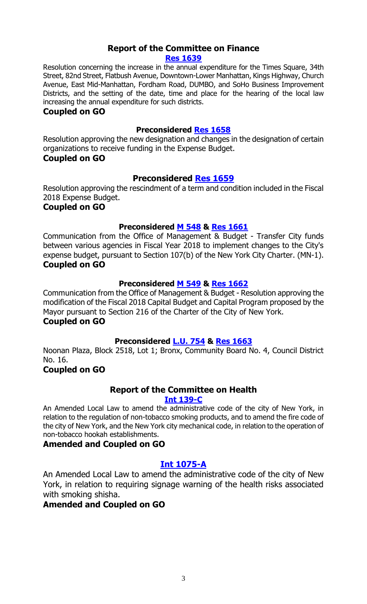#### **Report of the Committee on Finance [Res 1639](http://legistar.council.nyc.gov/LegislationDetail.aspx?ID=3145154&GUID=B88F6C1B-5CB9-4662-8201-D4A98AC52F7E&Options=ID|&Search=1639)**

Resolution concerning the increase in the annual expenditure for the Times Square, 34th Street, 82nd Street, Flatbush Avenue, Downtown-Lower Manhattan, Kings Highway, Church Avenue, East Mid-Manhattan, Fordham Road, DUMBO, and SoHo Business Improvement Districts, and the setting of the date, time and place for the hearing of the local law increasing the annual expenditure for such districts.

#### **Coupled on GO**

#### **Preconsidered [Res 1658](http://legistar.council.nyc.gov/LegislationDetail.aspx?ID=3145155&GUID=5031F9A8-85AD-4DFF-A40F-34355924E6DB&Options=ID|Text|&Search=)**

Resolution approving the new designation and changes in the designation of certain organizations to receive funding in the Expense Budget.

#### **Coupled on GO**

#### **Preconsidered [Res 1659](http://legistar.council.nyc.gov/LegislationDetail.aspx?ID=3163931&GUID=6FA04C24-3F90-439C-804E-7A29567A6825&Options=ID|Text|&Search=)**

Resolution approving the rescindment of a term and condition included in the Fiscal 2018 Expense Budget.

#### **Coupled on GO**

#### **Preconsidered [M 548](http://legistar.council.nyc.gov/LegislationDetail.aspx?ID=3163907&GUID=E2A97312-BA53-4A59-A933-91B46BF9BD74&Options=ID|Text|&Search=) & [Res 1661](http://legistar.council.nyc.gov/LegislationDetail.aspx?ID=3164110&GUID=CB17BBC8-643F-4E5F-B233-3D7DF900F1A6&Options=ID|Text|&Search=)**

Communication from the Office of Management & Budget - Transfer City funds between various agencies in Fiscal Year 2018 to implement changes to the City's expense budget, pursuant to Section 107(b) of the New York City Charter. (MN-1). **Coupled on GO**

#### **Preconsidered [M 549](http://legistar.council.nyc.gov/LegislationDetail.aspx?ID=3163908&GUID=483F8DC7-5ACC-4060-AFC7-773C25382E86&Options=ID|Text|&Search=) & [Res 1662](http://legistar.council.nyc.gov/LegislationDetail.aspx?ID=3164111&GUID=17DD823D-DA04-4D82-A18E-1D340F99558B&Options=ID|Text|&Search=)**

Communication from the Office of Management & Budget - Resolution approving the modification of the Fiscal 2018 Capital Budget and Capital Program proposed by the Mayor pursuant to Section 216 of the Charter of the City of New York. **Coupled on GO**

### **Preconsidered [L.U. 754](http://legistar.council.nyc.gov/LegislationDetail.aspx?ID=3157809&GUID=71371A22-F5E8-48E6-ACE5-54553C1161C1&Options=ID|Text|&Search=0754) & [Res 1663](http://legistar.council.nyc.gov/LegislationDetail.aspx?ID=3164109&GUID=D92105D4-F057-4F46-B29E-2FE630AFA160&Options=ID|Text|&Search=)**

Noonan Plaza, Block 2518, Lot 1; Bronx, Community Board No. 4, Council District No. 16.

### **Coupled on GO**

# **Report of the Committee on Health**

#### **[Int 139-C](http://legistar.council.nyc.gov/LegislationDetail.aspx?ID=1681027&GUID=CA7FCECC-AD77-46A5-84BE-FB1E16818D64&Options=Advanced&Search=)**

An Amended Local Law to amend the administrative code of the city of New York, in relation to the regulation of non-tobacco smoking products, and to amend the fire code of the city of New York, and the New York city mechanical code, in relation to the operation of non-tobacco hookah establishments.

#### **Amended and Coupled on GO**

#### **[Int 1075-A](http://legistar.council.nyc.gov/LegislationDetail.aspx?ID=2564373&GUID=790B4883-800D-4CE5-8C39-C8FDDE07E300&Options=Advanced&Search=)**

An Amended Local Law to amend the administrative code of the city of New York, in relation to requiring signage warning of the health risks associated with smoking shisha.

#### **Amended and Coupled on GO**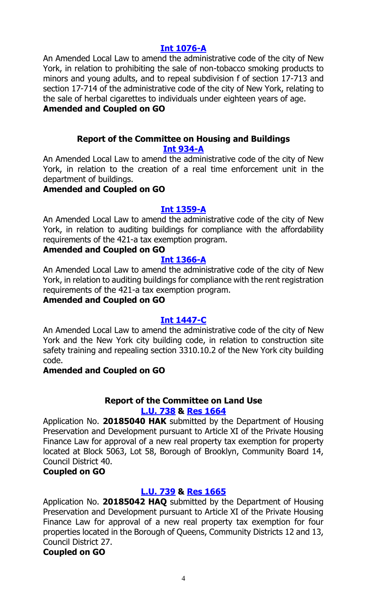#### **[Int 1076-A](http://legistar.council.nyc.gov/LegislationDetail.aspx?ID=2564372&GUID=C2A12981-0597-4C17-9B1F-9E3F2EF0EB6F&Options=Advanced&Search=)**

An Amended Local Law to amend the administrative code of the city of New York, in relation to prohibiting the sale of non-tobacco smoking products to minors and young adults, and to repeal subdivision f of section 17-713 and section 17-714 of the administrative code of the city of New York, relating to the sale of herbal cigarettes to individuals under eighteen years of age.

## **Amended and Coupled on GO**

# **Report of the Committee on Housing and Buildings [Int 934-A](http://legistar.council.nyc.gov/LegislationDetail.aspx?ID=2473914&GUID=FCC8DE15-1365-40A5-B8AE-E4E9013A72B9&Options=Advanced&Search=)**

An Amended Local Law to amend the administrative code of the city of New York, in relation to the creation of a real time enforcement unit in the department of buildings.

# **Amended and Coupled on GO**

### **[Int 1359-A](http://legistar.council.nyc.gov/LegislationDetail.aspx?ID=2884342&GUID=980FD4A4-1283-4809-90A7-B079D26E0516&Options=Advanced&Search=)**

An Amended Local Law to amend the administrative code of the city of New York, in relation to auditing buildings for compliance with the affordability requirements of the 421-a tax exemption program.

### **Amended and Coupled on GO**

### **[Int 1366-A](http://legistar.council.nyc.gov/LegislationDetail.aspx?ID=2884341&GUID=8ADAD6DB-AE5B-4D7D-9AAB-61D108D968FC&Options=Advanced&Search=)**

An Amended Local Law to amend the administrative code of the city of New York, in relation to auditing buildings for compliance with the rent registration requirements of the 421-a tax exemption program.

# **Amended and Coupled on GO**

### **[Int 1447-C](http://legistar.council.nyc.gov/LegislationDetail.aspx?ID=2939936&GUID=158EF0D3-4D99-4A33-8B16-55A67B1EDA18&Options=Advanced&Search=)**

An Amended Local Law to amend the administrative code of the city of New York and the New York city building code, in relation to construction site safety training and repealing section 3310.10.2 of the New York city building code.

### **Amended and Coupled on GO**

#### **Report of the Committee on Land Use [L.U. 738](http://legistar.council.nyc.gov/LegislationDetail.aspx?ID=3123743&GUID=E1AAB159-356C-4F3E-B34B-B9EE188F7389&Options=ID|&Search=) & Res [1664](http://legistar.council.nyc.gov/LegislationDetail.aspx?ID=3163357&GUID=28676218-35AB-4473-B847-5DB36AFFC7D4&Options=ID|&Search=)**

Application No. **20185040 HAK** submitted by the Department of Housing Preservation and Development pursuant to Article XI of the Private Housing Finance Law for approval of a new real property tax exemption for property located at Block 5063, Lot 58, Borough of Brooklyn, Community Board 14, Council District 40.

### **Coupled on GO**

# **[L.U. 739](http://legistar.council.nyc.gov/LegislationDetail.aspx?ID=3123749&GUID=4B17A616-85DB-411E-94DA-792F33E924F0&Options=ID|&Search=) & Res [1665](http://legistar.council.nyc.gov/LegislationDetail.aspx?ID=3163358&GUID=C70BDEBD-7E12-4D90-AAF2-0B5ADF7A19FA&Options=ID|&Search=)**

Application No. **20185042 HAQ** submitted by the Department of Housing Preservation and Development pursuant to Article XI of the Private Housing Finance Law for approval of a new real property tax exemption for four properties located in the Borough of Queens, Community Districts 12 and 13, Council District 27.

### **Coupled on GO**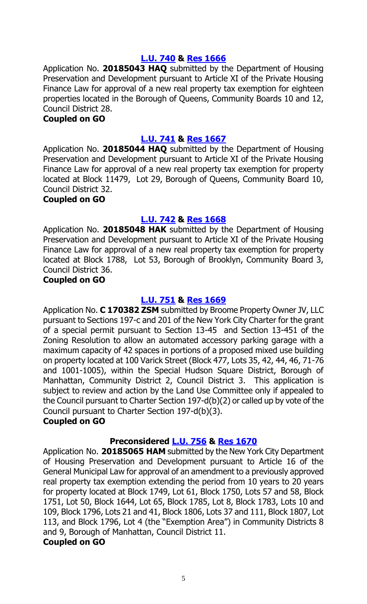#### **[L.U. 740](http://legistar.council.nyc.gov/LegislationDetail.aspx?ID=3123750&GUID=5E58F29F-CEEB-49B7-BA8F-F9DCACB4734C&Options=ID|&Search=) & Res [1666](http://legistar.council.nyc.gov/LegislationDetail.aspx?ID=3163387&GUID=F6C1D799-C0A6-496E-A3B8-3896F11B9490&Options=ID|&Search=)**

Application No. **20185043 HAQ** submitted by the Department of Housing Preservation and Development pursuant to Article XI of the Private Housing Finance Law for approval of a new real property tax exemption for eighteen properties located in the Borough of Queens, Community Boards 10 and 12, Council District 28.

#### **Coupled on GO**

#### **[L.U. 741](http://legistar.council.nyc.gov/LegislationDetail.aspx?ID=3123751&GUID=6C7B7445-4CAD-41F8-BB2B-DD63160B8B7D&Options=ID|&Search=) & Res [1667](http://legistar.council.nyc.gov/LegislationDetail.aspx?ID=3163388&GUID=CD0A25D1-B9DA-4575-BA28-0228391051E8&Options=ID|&Search=)**

Application No. **20185044 HAQ** submitted by the Department of Housing Preservation and Development pursuant to Article XI of the Private Housing Finance Law for approval of a new real property tax exemption for property located at Block 11479, Lot 29, Borough of Queens, Community Board 10, Council District 32.

#### **Coupled on GO**

#### **[L.U. 742](http://legistar.council.nyc.gov/LegislationDetail.aspx?ID=3123752&GUID=ECFD91C6-0FB8-4BEE-946A-26A6995ED7B0&Options=ID|&Search=) & Res [1668](http://legistar.council.nyc.gov/LegislationDetail.aspx?ID=3163389&GUID=73567238-3097-44CD-86B3-2F5651AC0B05&Options=ID|&Search=)**

Application No. **20185048 HAK** submitted by the Department of Housing Preservation and Development pursuant to Article XI of the Private Housing Finance Law for approval of a new real property tax exemption for property located at Block 1788, Lot 53, Borough of Brooklyn, Community Board 3, Council District 36.

#### **Coupled on GO**

#### **[L.U. 751](http://legistar.council.nyc.gov/LegislationDetail.aspx?ID=3147860&GUID=F5E79DFB-4EFC-4661-B25D-882AF118427A&Options=ID|&Search=) & Res [1669](http://legistar.council.nyc.gov/LegislationDetail.aspx?ID=3163356&GUID=D02EBDEC-5499-4D7C-B77B-430573BFFAAD&Options=ID|&Search=)**

Application No. **C 170382 ZSM** submitted by Broome Property Owner JV, LLC pursuant to Sections 197-c and 201 of the New York City Charter for the grant of a special permit pursuant to Section 13-45 and Section 13-451 of the Zoning Resolution to allow an automated accessory parking garage with a maximum capacity of 42 spaces in portions of a proposed mixed use building on property located at 100 Varick Street (Block 477, Lots 35, 42, 44, 46, 71-76 and 1001-1005), within the Special Hudson Square District, Borough of Manhattan, Community District 2, Council District 3. This application is subject to review and action by the Land Use Committee only if appealed to the Council pursuant to Charter Section 197-d(b)(2) or called up by vote of the Council pursuant to Charter Section 197-d(b)(3).

#### **Coupled on GO**

### **Preconsidered [L.U.](http://legistar.council.nyc.gov/LegislationDetail.aspx?ID=3159157&GUID=0DCA3DF6-CE02-44D1-BDB8-C178953DC0DD&Options=ID|&Search=) 756 & Res [1670](http://legistar.council.nyc.gov/LegislationDetail.aspx?ID=3163390&GUID=92459B5B-9B5D-4C99-A939-71A4EF11EBF7&Options=ID|&Search=)**

Application No. **20185065 HAM** submitted by the New York City Department of Housing Preservation and Development pursuant to Article 16 of the General Municipal Law for approval of an amendment to a previously approved real property tax exemption extending the period from 10 years to 20 years for property located at Block 1749, Lot 61, Block 1750, Lots 57 and 58, Block 1751, Lot 50, Block 1644, Lot 65, Block 1785, Lot 8, Block 1783, Lots 10 and 109, Block 1796, Lots 21 and 41, Block 1806, Lots 37 and 111, Block 1807, Lot 113, and Block 1796, Lot 4 (the "Exemption Area") in Community Districts 8 and 9, Borough of Manhattan, Council District 11.

#### **Coupled on GO**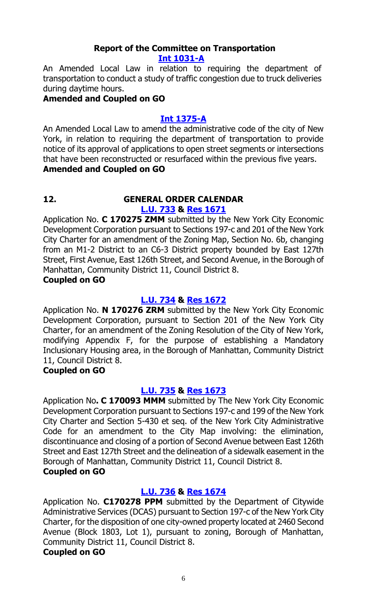# **Report of the Committee on Transportation [Int 1031-A](http://legistar.council.nyc.gov/LegislationDetail.aspx?ID=2537043&GUID=B1086845-955F-4C35-83F7-B548141C8198&Options=Advanced&Search=)**

An Amended Local Law in relation to requiring the department of transportation to conduct a study of traffic congestion due to truck deliveries during daytime hours.

# **Amended and Coupled on GO**

# **[Int 1375-A](http://legistar.council.nyc.gov/LegislationDetail.aspx?ID=2895207&GUID=6B25FAF6-69E2-4EDA-A7E6-536FBD11E18E&Options=Advanced&Search=)**

An Amended Local Law to amend the administrative code of the city of New York, in relation to requiring the department of transportation to provide notice of its approval of applications to open street segments or intersections that have been reconstructed or resurfaced within the previous five years.

### **Amended and Coupled on GO**

#### **12. GENERAL ORDER CALENDAR [L.U. 733](http://legistar.council.nyc.gov/LegislationDetail.aspx?ID=3123739&GUID=F0A67656-279F-419D-8346-FBAF3EA0FA13&Options=ID|&Search=) & Res [1671](http://legistar.council.nyc.gov/LegislationDetail.aspx?ID=3146041&GUID=1086ED3F-FA79-4D7B-9687-07A3D181F74C&Options=ID|&Search=)**

Application No. **C 170275 ZMM** submitted by the New York City Economic Development Corporation pursuant to Sections 197-c and 201 of the New York City Charter for an amendment of the Zoning Map, Section No. 6b, changing from an M1-2 District to an C6-3 District property bounded by East 127th Street, First Avenue, East 126th Street, and Second Avenue, in the Borough of Manhattan, Community District 11, Council District 8.

# **Coupled on GO**

# **[L.U. 734](http://legistar.council.nyc.gov/LegislationDetail.aspx?ID=3123740&GUID=4D624F35-2EDE-4A38-BA6D-3CBC44388AF8&Options=ID|&Search=) & Res [1672](http://legistar.council.nyc.gov/LegislationDetail.aspx?ID=3146042&GUID=D01764A9-AE99-4B28-9736-C2948AA240A1&Options=ID|&Search=)**

Application No. **N 170276 ZRM** submitted by the New York City Economic Development Corporation, pursuant to Section 201 of the New York City Charter, for an amendment of the Zoning Resolution of the City of New York, modifying Appendix F, for the purpose of establishing a Mandatory Inclusionary Housing area, in the Borough of Manhattan, Community District 11, Council District 8.

### **Coupled on GO**

# **[L.U. 735](http://legistar.council.nyc.gov/LegislationDetail.aspx?ID=3123741&GUID=1C7B61A5-F183-4D43-814A-68829D5C1A26&Options=ID|&Search=) & Res [1673](http://legistar.council.nyc.gov/LegislationDetail.aspx?ID=3146043&GUID=2241EA05-52CB-40C3-A65E-86CD1F2A1622&Options=ID|&Search=)**

Application No**. C 170093 MMM** submitted by The New York City Economic Development Corporation pursuant to Sections 197-c and 199 of the New York City Charter and Section 5-430 et seq. of the New York City Administrative Code for an amendment to the City Map involving: the elimination, discontinuance and closing of a portion of Second Avenue between East 126th Street and East 127th Street and the delineation of a sidewalk easement in the Borough of Manhattan, Community District 11, Council District 8.

# **Coupled on GO**

# **[L.U. 736](http://legistar.council.nyc.gov/LegislationDetail.aspx?ID=3123744&GUID=AC610C63-F488-4324-8A96-2D652D3714CD&Options=ID|&Search=) & Res [1674](http://legistar.council.nyc.gov/LegislationDetail.aspx?ID=3146044&GUID=3B5A59D6-9B81-4AF1-A6B6-975FABC66059&Options=ID|&Search=)**

Application No. **C170278 PPM** submitted by the Department of Citywide Administrative Services (DCAS) pursuant to Section 197-c of the New York City Charter, for the disposition of one city-owned property located at 2460 Second Avenue (Block 1803, Lot 1), pursuant to zoning, Borough of Manhattan, Community District 11, Council District 8. **Coupled on GO**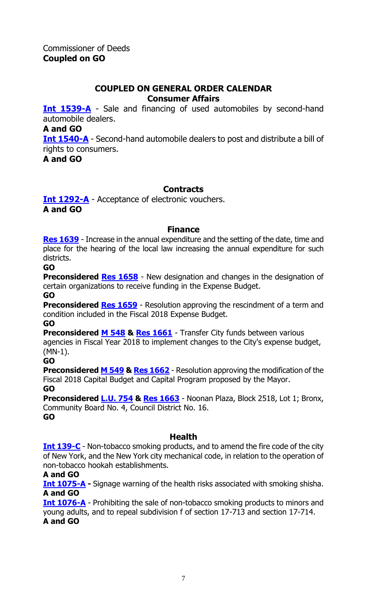#### **COUPLED ON GENERAL ORDER CALENDAR Consumer Affairs**

**[Int 1539-A](http://legistar.council.nyc.gov/LegislationDetail.aspx?ID=3008983&GUID=C3212579-670A-4B52-975B-B572DDD65D20&Options=Advanced&Search=)** - Sale and financing of used automobiles by second-hand automobile dealers.

**A and GO**

**[Int 1540-A](http://legistar.council.nyc.gov/LegislationDetail.aspx?ID=3008990&GUID=2C47856B-FAF1-468E-A45A-CA79FC432631&Options=Advanced&Search=)** - Second-hand automobile dealers to post and distribute a bill of rights to consumers.

**A and GO**

# **Contracts**

**[Int 1292-A](http://legistar.council.nyc.gov/LegislationDetail.aspx?ID=2858175&GUID=4A2B57B3-9D50-4BF7-8446-692B04334FF5&Options=Advanced&Search=)** - Acceptance of electronic vouchers. **A and GO**

#### **Finance**

**[Res 1639](http://legistar.council.nyc.gov/LegislationDetail.aspx?ID=3145154&GUID=B88F6C1B-5CB9-4662-8201-D4A98AC52F7E&Options=ID|&Search=1639)** - Increase in the annual expenditure and the setting of the date, time and place for the hearing of the local law increasing the annual expenditure for such districts.

**GO**

**Preconsidered [Res 1658](http://legistar.council.nyc.gov/LegislationDetail.aspx?ID=3145155&GUID=5031F9A8-85AD-4DFF-A40F-34355924E6DB&Options=ID|Text|&Search=)** - New designation and changes in the designation of certain organizations to receive funding in the Expense Budget.

**GO**

**Preconsidered [Res 1659](http://legistar.council.nyc.gov/LegislationDetail.aspx?ID=3163931&GUID=6FA04C24-3F90-439C-804E-7A29567A6825&Options=ID|Text|&Search=)** - Resolution approving the rescindment of a term and condition included in the Fiscal 2018 Expense Budget.

**GO**

**Preconsidered [M 548](http://legistar.council.nyc.gov/LegislationDetail.aspx?ID=3163907&GUID=E2A97312-BA53-4A59-A933-91B46BF9BD74&Options=ID|Text|&Search=) & [Res 1661](http://legistar.council.nyc.gov/LegislationDetail.aspx?ID=3164110&GUID=CB17BBC8-643F-4E5F-B233-3D7DF900F1A6&Options=ID|Text|&Search=)** - Transfer City funds between various agencies in Fiscal Year 2018 to implement changes to the City's expense budget, (MN-1). **GO**

**Preconsidered [M 549](http://legistar.council.nyc.gov/LegislationDetail.aspx?ID=3163908&GUID=483F8DC7-5ACC-4060-AFC7-773C25382E86&Options=ID|Text|&Search=) & [Res 1662](http://legistar.council.nyc.gov/LegislationDetail.aspx?ID=3164111&GUID=17DD823D-DA04-4D82-A18E-1D340F99558B&Options=ID|Text|&Search=)** - Resolution approving the modification of the Fiscal 2018 Capital Budget and Capital Program proposed by the Mayor.

### **GO**

**Preconsidered [L.U. 754](http://legistar.council.nyc.gov/LegislationDetail.aspx?ID=3157809&GUID=71371A22-F5E8-48E6-ACE5-54553C1161C1&Options=ID|Text|&Search=0754) & [Res 1663](http://legistar.council.nyc.gov/LegislationDetail.aspx?ID=3164109&GUID=D92105D4-F057-4F46-B29E-2FE630AFA160&Options=ID|Text|&Search=)** - Noonan Plaza, Block 2518, Lot 1; Bronx, Community Board No. 4, Council District No. 16. **GO**

### **Health**

**[Int 139-C](http://legistar.council.nyc.gov/LegislationDetail.aspx?ID=1681027&GUID=CA7FCECC-AD77-46A5-84BE-FB1E16818D64&Options=Advanced&Search=)** - Non-tobacco smoking products, and to amend the fire code of the city of New York, and the New York city mechanical code, in relation to the operation of non-tobacco hookah establishments.

### **A and GO**

**[Int 1075-A](http://legistar.council.nyc.gov/LegislationDetail.aspx?ID=2564373&GUID=790B4883-800D-4CE5-8C39-C8FDDE07E300&Options=Advanced&Search=) -** Signage warning of the health risks associated with smoking shisha. **A and GO**

**[Int 1076-A](http://legistar.council.nyc.gov/LegislationDetail.aspx?ID=2564372&GUID=C2A12981-0597-4C17-9B1F-9E3F2EF0EB6F&Options=Advanced&Search=)** - Prohibiting the sale of non-tobacco smoking products to minors and young adults, and to repeal subdivision f of section 17-713 and section 17-714. **A and GO**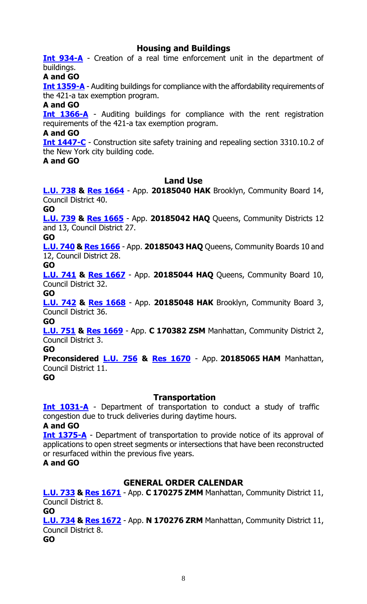# **Housing and Buildings**

**[Int 934-A](http://legistar.council.nyc.gov/LegislationDetail.aspx?ID=2473914&GUID=FCC8DE15-1365-40A5-B8AE-E4E9013A72B9&Options=Advanced&Search=)** - Creation of a real time enforcement unit in the department of buildings.

**A and GO**

**[Int 1359-A](http://legistar.council.nyc.gov/LegislationDetail.aspx?ID=2884342&GUID=980FD4A4-1283-4809-90A7-B079D26E0516&Options=Advanced&Search=)** - Auditing buildings for compliance with the affordability requirements of the 421-a tax exemption program.

**A and GO**

**[Int 1366-A](http://legistar.council.nyc.gov/LegislationDetail.aspx?ID=2884341&GUID=8ADAD6DB-AE5B-4D7D-9AAB-61D108D968FC&Options=Advanced&Search=)** - Auditing buildings for compliance with the rent registration requirements of the 421-a tax exemption program.

**A and GO**

**[Int 1447-C](http://legistar.council.nyc.gov/LegislationDetail.aspx?ID=2939936&GUID=158EF0D3-4D99-4A33-8B16-55A67B1EDA18&Options=Advanced&Search=)** - Construction site safety training and repealing section 3310.10.2 of the New York city building code.

**A and GO**

#### **Land Use**

**[L.U. 738](http://legistar.council.nyc.gov/LegislationDetail.aspx?ID=3123743&GUID=E1AAB159-356C-4F3E-B34B-B9EE188F7389&Options=ID|&Search=) & Res [1664](http://legistar.council.nyc.gov/LegislationDetail.aspx?ID=3163357&GUID=28676218-35AB-4473-B847-5DB36AFFC7D4&Options=ID|&Search=)** - App. **20185040 HAK** Brooklyn, Community Board 14, Council District 40.

**GO**

**[L.U. 739](http://legistar.council.nyc.gov/LegislationDetail.aspx?ID=3123749&GUID=4B17A616-85DB-411E-94DA-792F33E924F0&Options=ID|&Search=) & Res [1665](http://legistar.council.nyc.gov/LegislationDetail.aspx?ID=3163358&GUID=C70BDEBD-7E12-4D90-AAF2-0B5ADF7A19FA&Options=ID|&Search=)** - App. **20185042 HAQ** Queens, Community Districts 12 and 13, Council District 27.

**GO**

**[L.U. 740](http://legistar.council.nyc.gov/LegislationDetail.aspx?ID=3123750&GUID=5E58F29F-CEEB-49B7-BA8F-F9DCACB4734C&Options=ID|&Search=) & Res [1666](http://legistar.council.nyc.gov/LegislationDetail.aspx?ID=3163387&GUID=F6C1D799-C0A6-496E-A3B8-3896F11B9490&Options=ID|&Search=)** - App. **20185043 HAQ** Queens, Community Boards 10 and 12, Council District 28.

**GO**

**[L.U. 741](http://legistar.council.nyc.gov/LegislationDetail.aspx?ID=3123751&GUID=6C7B7445-4CAD-41F8-BB2B-DD63160B8B7D&Options=ID|&Search=) & Res [1667](http://legistar.council.nyc.gov/LegislationDetail.aspx?ID=3163388&GUID=CD0A25D1-B9DA-4575-BA28-0228391051E8&Options=ID|&Search=)** - App. **20185044 HAQ** Queens, Community Board 10, Council District 32.

**GO**

**[L.U. 742](http://legistar.council.nyc.gov/LegislationDetail.aspx?ID=3123752&GUID=ECFD91C6-0FB8-4BEE-946A-26A6995ED7B0&Options=ID|&Search=) & Res [1668](http://legistar.council.nyc.gov/LegislationDetail.aspx?ID=3163389&GUID=73567238-3097-44CD-86B3-2F5651AC0B05&Options=ID|&Search=)** - App. **20185048 HAK** Brooklyn, Community Board 3, Council District 36.

**GO**

**[L.U. 751](http://legistar.council.nyc.gov/LegislationDetail.aspx?ID=3147860&GUID=F5E79DFB-4EFC-4661-B25D-882AF118427A&Options=ID|&Search=) & Res [1669](http://legistar.council.nyc.gov/LegislationDetail.aspx?ID=3163356&GUID=D02EBDEC-5499-4D7C-B77B-430573BFFAAD&Options=ID|&Search=)** - App. **C 170382 ZSM** Manhattan, Community District 2, Council District 3.

**GO**

**Preconsidered [L.U.](http://legistar.council.nyc.gov/LegislationDetail.aspx?ID=3159157&GUID=0DCA3DF6-CE02-44D1-BDB8-C178953DC0DD&Options=ID|&Search=) 756 & [Res 1670](http://legistar.council.nyc.gov/LegislationDetail.aspx?ID=3163390&GUID=92459B5B-9B5D-4C99-A939-71A4EF11EBF7&Options=ID|&Search=)** - App. **20185065 HAM** Manhattan, Council District 11.

**GO**

### **Transportation**

**[Int 1031-A](http://legistar.council.nyc.gov/LegislationDetail.aspx?ID=2537043&GUID=B1086845-955F-4C35-83F7-B548141C8198&Options=Advanced&Search=)** - Department of transportation to conduct a study of traffic congestion due to truck deliveries during daytime hours.

**A and GO**

**[Int 1375-A](http://legistar.council.nyc.gov/LegislationDetail.aspx?ID=2895207&GUID=6B25FAF6-69E2-4EDA-A7E6-536FBD11E18E&Options=Advanced&Search=)** - Department of transportation to provide notice of its approval of applications to open street segments or intersections that have been reconstructed or resurfaced within the previous five years.

**A and GO**

# **GENERAL ORDER CALENDAR**

**[L.U. 733](http://legistar.council.nyc.gov/LegislationDetail.aspx?ID=3123739&GUID=F0A67656-279F-419D-8346-FBAF3EA0FA13&Options=ID|&Search=) & [Res 1671](http://legistar.council.nyc.gov/LegislationDetail.aspx?ID=3146041&GUID=1086ED3F-FA79-4D7B-9687-07A3D181F74C&Options=ID|&Search=)** - App. **C 170275 ZMM** Manhattan, Community District 11, Council District 8.

**GO [L.U. 734](http://legistar.council.nyc.gov/LegislationDetail.aspx?ID=3123740&GUID=4D624F35-2EDE-4A38-BA6D-3CBC44388AF8&Options=ID|&Search=) & [Res 1672](http://legistar.council.nyc.gov/LegislationDetail.aspx?ID=3146042&GUID=D01764A9-AE99-4B28-9736-C2948AA240A1&Options=ID|&Search=)** - App. **N 170276 ZRM** Manhattan, Community District 11, Council District 8.

**GO**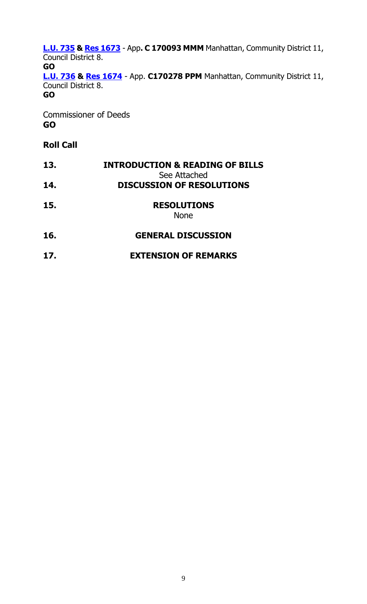**[L.U. 735](http://legistar.council.nyc.gov/LegislationDetail.aspx?ID=3123741&GUID=1C7B61A5-F183-4D43-814A-68829D5C1A26&Options=ID|&Search=) & [Res 1673](http://legistar.council.nyc.gov/LegislationDetail.aspx?ID=3146043&GUID=2241EA05-52CB-40C3-A65E-86CD1F2A1622&Options=ID|&Search=)** - App**. C 170093 MMM** Manhattan, Community District 11, Council District 8. **GO [L.U. 736](http://legistar.council.nyc.gov/LegislationDetail.aspx?ID=3123744&GUID=AC610C63-F488-4324-8A96-2D652D3714CD&Options=ID|&Search=) & Res [1674](http://legistar.council.nyc.gov/LegislationDetail.aspx?ID=3146044&GUID=3B5A59D6-9B81-4AF1-A6B6-975FABC66059&Options=ID|&Search=)** - App. **C170278 PPM** Manhattan, Community District 11, Council District 8. **GO**

Commissioner of Deeds **GO**

# **Roll Call**

| 13. | <b>INTRODUCTION &amp; READING OF BILLS</b><br>See Attached |
|-----|------------------------------------------------------------|
| 14. | <b>DISCUSSION OF RESOLUTIONS</b>                           |
| 15. | <b>RESOLUTIONS</b><br><b>None</b>                          |
| 16. | <b>GENERAL DISCUSSION</b>                                  |
| 17. | <b>EXTENSION OF REMARKS</b>                                |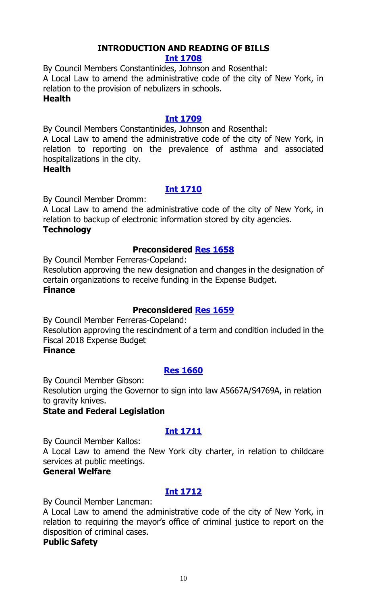# **INTRODUCTION AND READING OF BILLS**

### **[Int 1708](http://legistar.council.nyc.gov/LegislationDetail.aspx?ID=3163958&GUID=4ABF2054-3FC4-4389-A7F4-AFA6CC967D51&Options=ID|&Search=)**

By Council Members Constantinides, Johnson and Rosenthal:

A Local Law to amend the administrative code of the city of New York, in relation to the provision of nebulizers in schools.

# **Health**

# **[Int 1709](http://legistar.council.nyc.gov/LegislationDetail.aspx?ID=3163957&GUID=AB976343-F896-4A7B-8BE9-519A57160FF9&Options=ID|&Search=)**

By Council Members Constantinides, Johnson and Rosenthal:

A Local Law to amend the administrative code of the city of New York, in relation to reporting on the prevalence of asthma and associated hospitalizations in the city.

# **Health**

# **[Int 1710](http://legistar.council.nyc.gov/LegislationDetail.aspx?ID=3163959&GUID=73B4E03D-6412-4DA9-8EB5-87842ADD5D7F&Options=ID|&Search=)**

By Council Member Dromm:

A Local Law to amend the administrative code of the city of New York, in relation to backup of electronic information stored by city agencies.

# **Technology**

# **Preconsidered [Res 1658](http://legistar.council.nyc.gov/LegislationDetail.aspx?ID=3145155&GUID=5031F9A8-85AD-4DFF-A40F-34355924E6DB&Options=ID|&Search=)**

By Council Member Ferreras-Copeland:

Resolution approving the new designation and changes in the designation of certain organizations to receive funding in the Expense Budget. **Finance**

# **Preconsidered [Res 1659](http://legistar.council.nyc.gov/LegislationDetail.aspx?ID=3163931&GUID=6FA04C24-3F90-439C-804E-7A29567A6825&Options=ID|&Search=)**

By Council Member Ferreras-Copeland:

Resolution approving the rescindment of a term and condition included in the Fiscal 2018 Expense Budget

# **Finance**

# **[Res 1660](http://legistar.council.nyc.gov/LegislationDetail.aspx?ID=3163964&GUID=3B55F6D6-AE06-4653-9E34-E5C7AFEA9EB3&Options=ID%7cText%7c&Search=)**

By Council Member Gibson:

Resolution urging the Governor to sign into law A5667A/S4769A, in relation to gravity knives.

# **State and Federal Legislation**

# **[Int 1711](http://legistar.council.nyc.gov/LegislationDetail.aspx?ID=3163953&GUID=59554789-AAE6-42C4-AD67-ECD3136FEAE8&Options=ID|&Search=)**

By Council Member Kallos:

A Local Law to amend the New York city charter, in relation to childcare services at public meetings.

# **General Welfare**

# **[Int 1712](http://legistar.council.nyc.gov/LegislationDetail.aspx?ID=3163950&GUID=58B43AC5-62EC-4217-A936-EF25A5087885&Options=ID|&Search=)**

By Council Member Lancman:

A Local Law to amend the administrative code of the city of New York, in relation to requiring the mayor's office of criminal justice to report on the disposition of criminal cases.

### **Public Safety**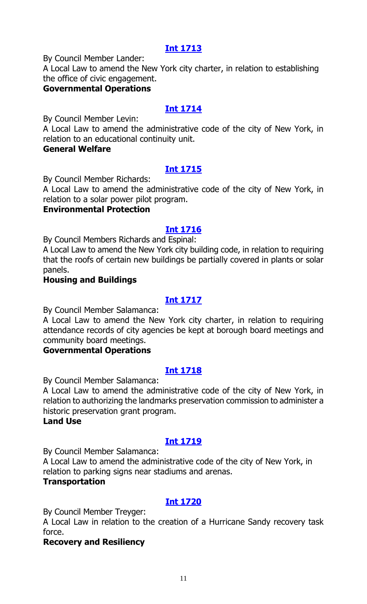# **[Int 1713](http://legistar.council.nyc.gov/LegislationDetail.aspx?ID=3163956&GUID=D75C1780-A525-4733-8C17-6D1E9D27E10B&Options=ID|&Search=)**

By Council Member Lander:

A Local Law to amend the New York city charter, in relation to establishing the office of civic engagement.

## **Governmental Operations**

# **[Int 1714](http://legistar.council.nyc.gov/LegislationDetail.aspx?ID=3163952&GUID=3834790C-1BE7-4FCC-AAB4-FB33E779ADC7&Options=ID|&Search=)**

By Council Member Levin:

A Local Law to amend the administrative code of the city of New York, in relation to an educational continuity unit.

## **General Welfare**

# **[Int 1715](http://legistar.council.nyc.gov/LegislationDetail.aspx?ID=3163962&GUID=4F47D577-C6DC-40E6-B6B3-C5FC8101DAA8&Options=ID|&Search=)**

By Council Member Richards:

A Local Law to amend the administrative code of the city of New York, in relation to a solar power pilot program.

# **Environmental Protection**

# **Int [1716](http://legistar.council.nyc.gov/LegislationDetail.aspx?ID=3163961&GUID=55D53D47-51D5-4D17-BD71-545257ECEF1E&Options=ID|&Search=)**

By Council Members Richards and Espinal:

A Local Law to amend the New York city building code, in relation to requiring that the roofs of certain new buildings be partially covered in plants or solar panels.

# **Housing and Buildings**

# **[Int 1717](http://legistar.council.nyc.gov/LegislationDetail.aspx?ID=3163955&GUID=4C2E0111-6AE0-4705-BC35-11B91158BA0B&Options=ID|&Search=)**

By Council Member Salamanca:

A Local Law to amend the New York city charter, in relation to requiring attendance records of city agencies be kept at borough board meetings and community board meetings.

### **Governmental Operations**

# **[Int 1718](http://legistar.council.nyc.gov/LegislationDetail.aspx?ID=3163954&GUID=C48E0774-4483-48A1-898F-C87F98676498&Options=ID|&Search=)**

By Council Member Salamanca:

A Local Law to amend the administrative code of the city of New York, in relation to authorizing the landmarks preservation commission to administer a historic preservation grant program.

#### **Land Use**

# **[Int 1719](http://legistar.council.nyc.gov/LegislationDetail.aspx?ID=3163951&GUID=6D264D37-6582-4D7C-BF80-124FFC948B93&Options=ID|&Search=)**

By Council Member Salamanca:

A Local Law to amend the administrative code of the city of New York, in relation to parking signs near stadiums and arenas.

### **Transportation**

# **[Int 1720](http://legistar.council.nyc.gov/LegislationDetail.aspx?ID=3163963&GUID=E67E93F0-B9A4-477C-A18A-56E4D86891D4&Options=ID|&Search=)**

By Council Member Treyger:

A Local Law in relation to the creation of a Hurricane Sandy recovery task force.

### **Recovery and Resiliency**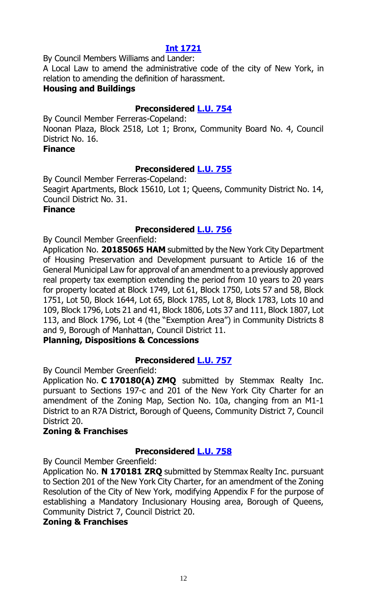# **[Int 1721](http://legistar.council.nyc.gov/LegislationDetail.aspx?ID=3163960&GUID=7C30F5B0-1775-4BF1-B78F-716F8A640A07&Options=ID|&Search=)**

By Council Members Williams and Lander:

A Local Law to amend the administrative code of the city of New York, in relation to amending the definition of harassment.

# **Housing and Buildings**

# **Preconsidered [L.U. 754](http://legistar.council.nyc.gov/LegislationDetail.aspx?ID=3157809&GUID=71371A22-F5E8-48E6-ACE5-54553C1161C1&Options=ID|&Search=)**

By Council Member Ferreras-Copeland: Noonan Plaza, Block 2518, Lot 1; Bronx, Community Board No. 4, Council District No. 16.

#### **Finance**

# **Preconsidered [L.U. 755](http://legistar.council.nyc.gov/LegislationDetail.aspx?ID=3157810&GUID=E8276D9D-2553-4EE3-84BB-D4B22C651C58&Options=ID|&Search=)**

By Council Member Ferreras-Copeland:

Seagirt Apartments, Block 15610, Lot 1; Queens, Community District No. 14, Council District No. 31.

### **Finance**

# **Preconsidered [L.U. 756](http://legistar.council.nyc.gov/LegislationDetail.aspx?ID=3159157&GUID=0DCA3DF6-CE02-44D1-BDB8-C178953DC0DD&Options=ID|&Search=)**

By Council Member Greenfield:

Application No. **20185065 HAM** submitted by the New York City Department of Housing Preservation and Development pursuant to Article 16 of the General Municipal Law for approval of an amendment to a previously approved real property tax exemption extending the period from 10 years to 20 years for property located at Block 1749, Lot 61, Block 1750, Lots 57 and 58, Block 1751, Lot 50, Block 1644, Lot 65, Block 1785, Lot 8, Block 1783, Lots 10 and 109, Block 1796, Lots 21 and 41, Block 1806, Lots 37 and 111, Block 1807, Lot 113, and Block 1796, Lot 4 (the "Exemption Area") in Community Districts 8 and 9, Borough of Manhattan, Council District 11.

# **Planning, Dispositions & Concessions**

# **Preconsidered [L.U. 757](http://legistar.council.nyc.gov/LegislationDetail.aspx?ID=3159142&GUID=FD3E53FF-5E0D-41CC-B5A0-9DDEB9E26F9C&Options=ID|&Search=)**

By Council Member Greenfield:

Application No. **C 170180(A) ZMQ** submitted by Stemmax Realty Inc. pursuant to Sections 197-c and 201 of the New York City Charter for an amendment of the Zoning Map, Section No. 10a, changing from an M1-1 District to an R7A District, Borough of Queens, Community District 7, Council District 20.

# **Zoning & Franchises**

# **Preconsidered [L.U. 758](http://legistar.council.nyc.gov/LegislationDetail.aspx?ID=3159143&GUID=51A1A49F-0706-4EBA-91DC-F23DECDA9AAB&Options=ID|&Search=)**

By Council Member Greenfield:

Application No. **N 170181 ZRQ** submitted by Stemmax Realty Inc. pursuant to Section 201 of the New York City Charter, for an amendment of the Zoning Resolution of the City of New York, modifying Appendix F for the purpose of establishing a Mandatory Inclusionary Housing area, Borough of Queens, Community District 7, Council District 20.

# **Zoning & Franchises**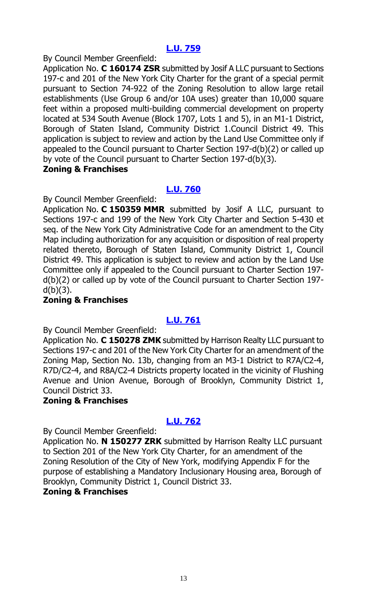# **[L.U. 759](http://legistar.council.nyc.gov/LegislationDetail.aspx?ID=3162806&GUID=058160BC-3DBB-4991-AA61-1F72CFFFB7E8&Options=ID|&Search=)**

By Council Member Greenfield:

Application No. **C 160174 ZSR** submitted by Josif A LLC pursuant to Sections 197-c and 201 of the New York City Charter for the grant of a special permit pursuant to Section 74-922 of the Zoning Resolution to allow large retail establishments (Use Group 6 and/or 10A uses) greater than 10,000 square feet within a proposed multi-building commercial development on property located at 534 South Avenue (Block 1707, Lots 1 and 5), in an M1-1 District, Borough of Staten Island, Community District 1.Council District 49. This application is subject to review and action by the Land Use Committee only if appealed to the Council pursuant to Charter Section 197-d(b)(2) or called up by vote of the Council pursuant to Charter Section 197-d(b)(3).

### **Zoning & Franchises**

# **[L.U. 760](http://legistar.council.nyc.gov/LegislationDetail.aspx?ID=3162807&GUID=8B807874-6E2B-4A50-B1F0-F45755D85B1A&Options=ID|&Search=)**

By Council Member Greenfield:

Application No. **C 150359 MMR** submitted by Josif A LLC, pursuant to Sections 197-c and 199 of the New York City Charter and Section 5-430 et seq. of the New York City Administrative Code for an amendment to the City Map including authorization for any acquisition or disposition of real property related thereto, Borough of Staten Island, Community District 1, Council District 49. This application is subject to review and action by the Land Use Committee only if appealed to the Council pursuant to Charter Section 197 d(b)(2) or called up by vote of the Council pursuant to Charter Section 197  $d(b)(3)$ .

# **Zoning & Franchises**

# **[L.U. 761](http://legistar.council.nyc.gov/LegislationDetail.aspx?ID=3162808&GUID=E511B7C5-B1D0-4907-9ECE-16DF80EEDC0F&Options=ID|&Search=)**

By Council Member Greenfield:

Application No. **C 150278 ZMK** submitted by Harrison Realty LLC pursuant to Sections 197-c and 201 of the New York City Charter for an amendment of the Zoning Map, Section No. 13b, changing from an M3-1 District to R7A/C2-4, R7D/C2-4, and R8A/C2-4 Districts property located in the vicinity of Flushing Avenue and Union Avenue, Borough of Brooklyn, Community District 1, Council District 33.

### **Zoning & Franchises**

# **[L.U. 762](http://legistar.council.nyc.gov/LegislationDetail.aspx?ID=3162809&GUID=3733A009-3736-47BC-A40B-230BB3A5E364&Options=ID|&Search=)**

By Council Member Greenfield:

Application No. **N 150277 ZRK** submitted by Harrison Realty LLC pursuant to Section 201 of the New York City Charter, for an amendment of the Zoning Resolution of the City of New York, modifying Appendix F for the purpose of establishing a Mandatory Inclusionary Housing area, Borough of Brooklyn, Community District 1, Council District 33.

### **Zoning & Franchises**